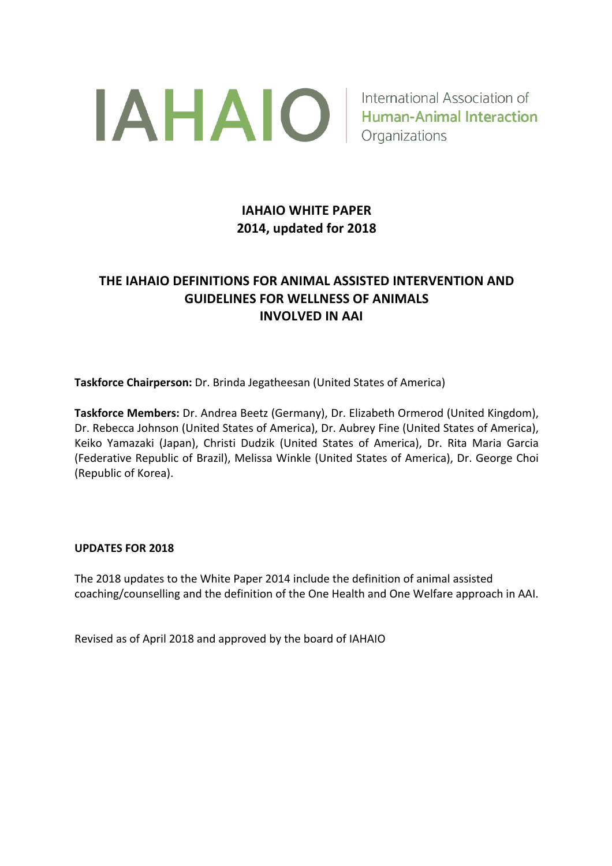

# **IAHAIO WHITE PAPER 2014, updated for 2018**

# **THE IAHAIO DEFINITIONS FOR ANIMAL ASSISTED INTERVENTION AND GUIDELINES FOR WELLNESS OF ANIMALS INVOLVED IN AAI**

**Taskforce Chairperson:** Dr. Brinda Jegatheesan (United States of America)

**Taskforce Members:** Dr. Andrea Beetz (Germany), Dr. Elizabeth Ormerod (United Kingdom), Dr. Rebecca Johnson (United States of America), Dr. Aubrey Fine (United States of America), Keiko Yamazaki (Japan), Christi Dudzik (United States of America), Dr. Rita Maria Garcia (Federative Republic of Brazil), Melissa Winkle (United States of America), Dr. George Choi (Republic of Korea).

#### **UPDATES FOR 2018**

The 2018 updates to the White Paper 2014 include the definition of animal assisted coaching/counselling and the definition of the One Health and One Welfare approach in AAI.

Revised as of April 2018 and approved by the board of IAHAIO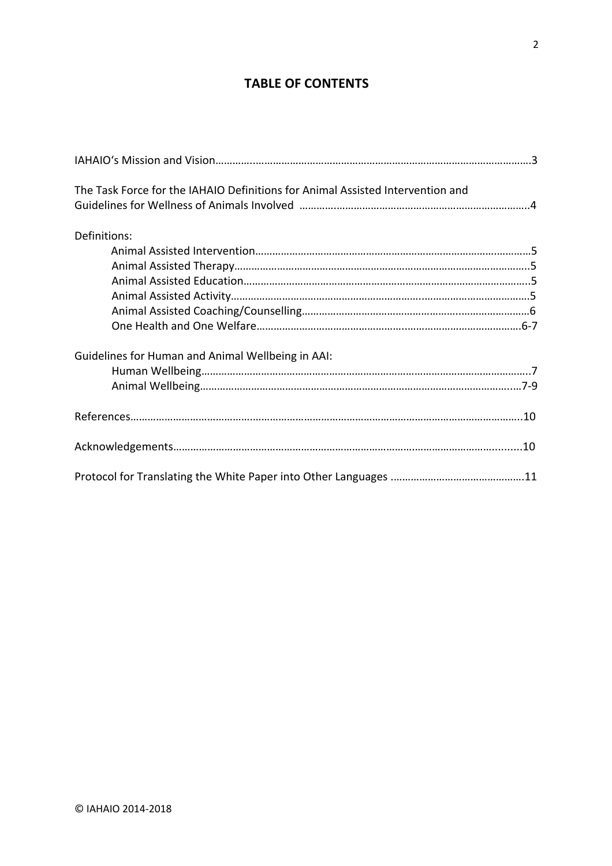## **TABLE OF CONTENTS**

| The Task Force for the IAHAIO Definitions for Animal Assisted Intervention and |  |
|--------------------------------------------------------------------------------|--|
| Definitions:                                                                   |  |
|                                                                                |  |
|                                                                                |  |
|                                                                                |  |
|                                                                                |  |
|                                                                                |  |
|                                                                                |  |
| Guidelines for Human and Animal Wellbeing in AAI:                              |  |
|                                                                                |  |
|                                                                                |  |
|                                                                                |  |
|                                                                                |  |
|                                                                                |  |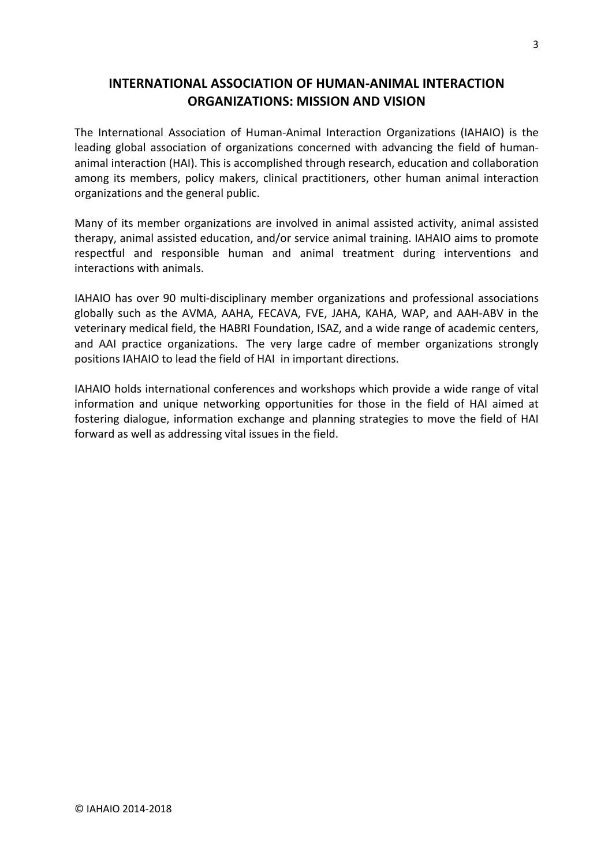## **INTERNATIONAL ASSOCIATION OF HUMAN-ANIMAL INTERACTION ORGANIZATIONS: MISSION AND VISION**

The International Association of Human-Animal Interaction Organizations (IAHAIO) is the leading global association of organizations concerned with advancing the field of humananimal interaction (HAI). This is accomplished through research, education and collaboration among its members, policy makers, clinical practitioners, other human animal interaction organizations and the general public.

Many of its member organizations are involved in animal assisted activity, animal assisted therapy, animal assisted education, and/or service animal training. IAHAIO aims to promote respectful and responsible human and animal treatment during interventions and interactions with animals.

IAHAIO has over 90 multi-disciplinary member organizations and professional associations globally such as the AVMA, AAHA, FECAVA, FVE, JAHA, KAHA, WAP, and AAH-ABV in the veterinary medical field, the HABRI Foundation, ISAZ, and a wide range of academic centers, and AAI practice organizations. The very large cadre of member organizations strongly positions IAHAIO to lead the field of HAI in important directions.

IAHAIO holds international conferences and workshops which provide a wide range of vital information and unique networking opportunities for those in the field of HAI aimed at fostering dialogue, information exchange and planning strategies to move the field of HAI forward as well as addressing vital issues in the field.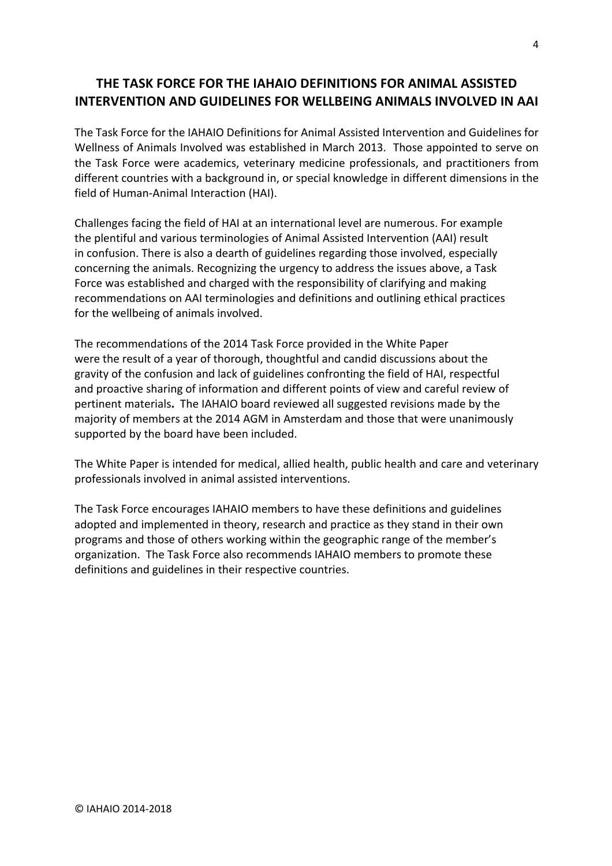# **THE TASK FORCE FOR THE IAHAIO DEFINITIONS FOR ANIMAL ASSISTED INTERVENTION AND GUIDELINES FOR WELLBEING ANIMALS INVOLVED IN AAI**

The Task Force for the IAHAIO Definitions for Animal Assisted Intervention and Guidelines for Wellness of Animals Involved was established in March 2013. Those appointed to serve on the Task Force were academics, veterinary medicine professionals, and practitioners from different countries with a background in, or special knowledge in different dimensions in the field of Human-Animal Interaction (HAI).

Challenges facing the field of HAI at an international level are numerous. For example the plentiful and various terminologies of Animal Assisted Intervention (AAI) result in confusion. There is also a dearth of guidelines regarding those involved, especially concerning the animals. Recognizing the urgency to address the issues above, a Task Force was established and charged with the responsibility of clarifying and making recommendations on AAI terminologies and definitions and outlining ethical practices for the wellbeing of animals involved.

The recommendations of the 2014 Task Force provided in the White Paper were the result of a year of thorough, thoughtful and candid discussions about the gravity of the confusion and lack of guidelines confronting the field of HAI, respectful and proactive sharing of information and different points of view and careful review of pertinent materials**.** The IAHAIO board reviewed all suggested revisions made by the majority of members at the 2014 AGM in Amsterdam and those that were unanimously supported by the board have been included.

The White Paper is intended for medical, allied health, public health and care and veterinary professionals involved in animal assisted interventions.

The Task Force encourages IAHAIO members to have these definitions and guidelines adopted and implemented in theory, research and practice as they stand in their own programs and those of others working within the geographic range of the member's organization. The Task Force also recommends IAHAIO members to promote these definitions and guidelines in their respective countries.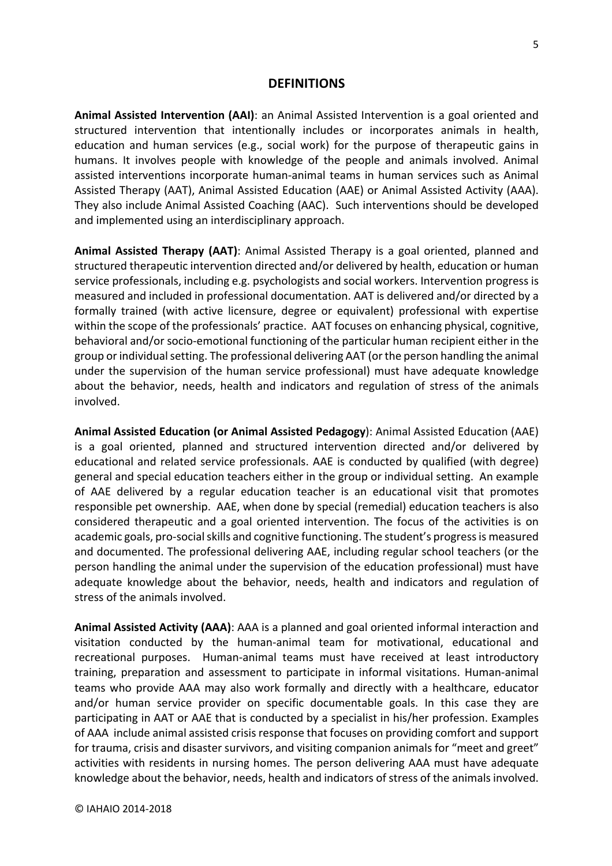#### **DEFINITIONS**

**Animal Assisted Intervention (AAI)**: an Animal Assisted Intervention is a goal oriented and structured intervention that intentionally includes or incorporates animals in health, education and human services (e.g., social work) for the purpose of therapeutic gains in humans. It involves people with knowledge of the people and animals involved. Animal assisted interventions incorporate human-animal teams in human services such as Animal Assisted Therapy (AAT), Animal Assisted Education (AAE) or Animal Assisted Activity (AAA). They also include Animal Assisted Coaching (AAC). Such interventions should be developed and implemented using an interdisciplinary approach.

**Animal Assisted Therapy (AAT)**: Animal Assisted Therapy is a goal oriented, planned and structured therapeutic intervention directed and/or delivered by health, education or human service professionals, including e.g. psychologists and social workers. Intervention progress is measured and included in professional documentation. AAT is delivered and/or directed by a formally trained (with active licensure, degree or equivalent) professional with expertise within the scope of the professionals' practice. AAT focuses on enhancing physical, cognitive, behavioral and/or socio-emotional functioning of the particular human recipient either in the group or individual setting. The professional delivering AAT (or the person handling the animal under the supervision of the human service professional) must have adequate knowledge about the behavior, needs, health and indicators and regulation of stress of the animals involved.

**Animal Assisted Education (or Animal Assisted Pedagogy**): Animal Assisted Education (AAE) is a goal oriented, planned and structured intervention directed and/or delivered by educational and related service professionals. AAE is conducted by qualified (with degree) general and special education teachers either in the group or individual setting. An example of AAE delivered by a regular education teacher is an educational visit that promotes responsible pet ownership. AAE, when done by special (remedial) education teachers is also considered therapeutic and a goal oriented intervention. The focus of the activities is on academic goals, pro-social skills and cognitive functioning. The student's progress is measured and documented. The professional delivering AAE, including regular school teachers (or the person handling the animal under the supervision of the education professional) must have adequate knowledge about the behavior, needs, health and indicators and regulation of stress of the animals involved.

**Animal Assisted Activity (AAA)**: AAA is a planned and goal oriented informal interaction and visitation conducted by the human-animal team for motivational, educational and recreational purposes. Human-animal teams must have received at least introductory training, preparation and assessment to participate in informal visitations. Human-animal teams who provide AAA may also work formally and directly with a healthcare, educator and/or human service provider on specific documentable goals. In this case they are participating in AAT or AAE that is conducted by a specialist in his/her profession. Examples of AAA include animal assisted crisis response that focuses on providing comfort and support for trauma, crisis and disaster survivors, and visiting companion animals for "meet and greet" activities with residents in nursing homes. The person delivering AAA must have adequate knowledge about the behavior, needs, health and indicators of stress of the animals involved.

© IAHAIO 2014-2018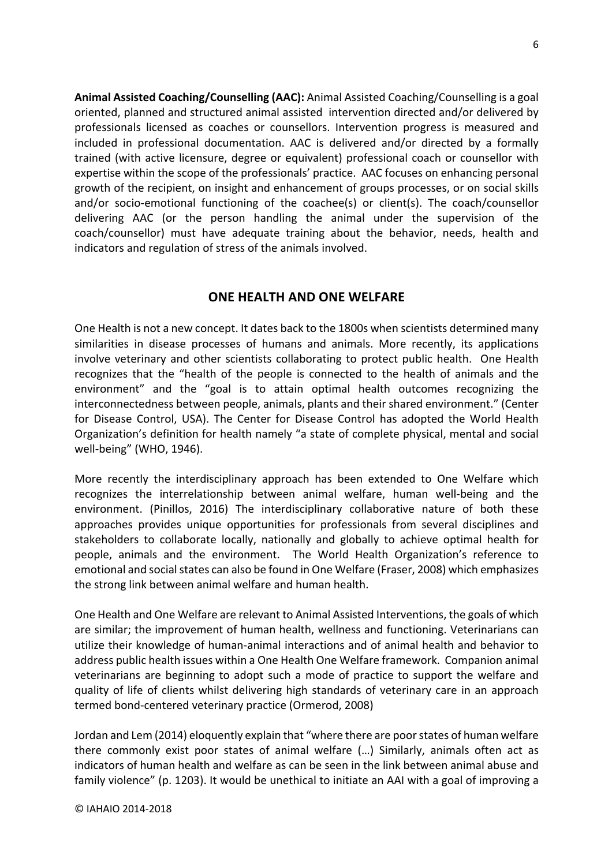**Animal Assisted Coaching/Counselling (AAC):** Animal Assisted Coaching/Counselling is a goal oriented, planned and structured animal assisted intervention directed and/or delivered by professionals licensed as coaches or counsellors. Intervention progress is measured and included in professional documentation. AAC is delivered and/or directed by a formally trained (with active licensure, degree or equivalent) professional coach or counsellor with expertise within the scope of the professionals' practice. AAC focuses on enhancing personal growth of the recipient, on insight and enhancement of groups processes, or on social skills and/or socio-emotional functioning of the coachee(s) or client(s). The coach/counsellor delivering AAC (or the person handling the animal under the supervision of the coach/counsellor) must have adequate training about the behavior, needs, health and indicators and regulation of stress of the animals involved.

### **ONE HEALTH AND ONE WELFARE**

One Health is not a new concept. It dates back to the 1800s when scientists determined many similarities in disease processes of humans and animals. More recently, its applications involve veterinary and other scientists collaborating to protect public health. One Health recognizes that the "health of the people is connected to the health of animals and the environment" and the "goal is to attain optimal health outcomes recognizing the interconnectedness between people, animals, plants and their shared environment." (Center for Disease Control, USA). The Center for Disease Control has adopted the World Health Organization's definition for health namely "a state of complete physical, mental and social well-being" (WHO, 1946).

More recently the interdisciplinary approach has been extended to One Welfare which recognizes the interrelationship between animal welfare, human well-being and the environment. (Pinillos, 2016) The interdisciplinary collaborative nature of both these approaches provides unique opportunities for professionals from several disciplines and stakeholders to collaborate locally, nationally and globally to achieve optimal health for people, animals and the environment. The World Health Organization's reference to emotional and social states can also be found in One Welfare (Fraser, 2008) which emphasizes the strong link between animal welfare and human health.

One Health and One Welfare are relevant to Animal Assisted Interventions, the goals of which are similar; the improvement of human health, wellness and functioning. Veterinarians can utilize their knowledge of human-animal interactions and of animal health and behavior to address public health issues within a One Health One Welfare framework. Companion animal veterinarians are beginning to adopt such a mode of practice to support the welfare and quality of life of clients whilst delivering high standards of veterinary care in an approach termed bond-centered veterinary practice (Ormerod, 2008)

Jordan and Lem (2014) eloquently explain that "where there are poor states of human welfare there commonly exist poor states of animal welfare (…) Similarly, animals often act as indicators of human health and welfare as can be seen in the link between animal abuse and family violence" (p. 1203). It would be unethical to initiate an AAI with a goal of improving a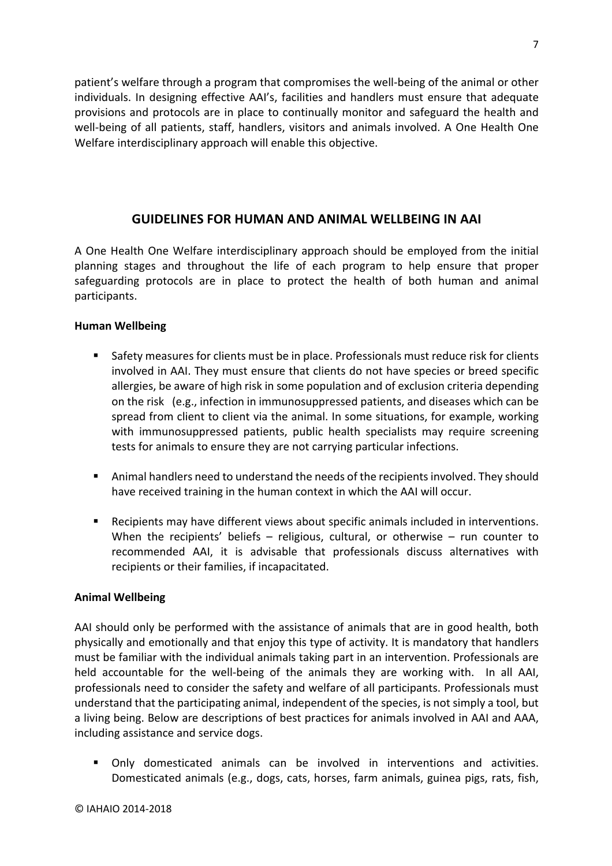patient's welfare through a program that compromises the well-being of the animal or other individuals. In designing effective AAI's, facilities and handlers must ensure that adequate provisions and protocols are in place to continually monitor and safeguard the health and well-being of all patients, staff, handlers, visitors and animals involved. A One Health One Welfare interdisciplinary approach will enable this objective.

### **GUIDELINES FOR HUMAN AND ANIMAL WELLBEING IN AAI**

A One Health One Welfare interdisciplinary approach should be employed from the initial planning stages and throughout the life of each program to help ensure that proper safeguarding protocols are in place to protect the health of both human and animal participants.

#### **Human Wellbeing**

- § Safety measures for clients must be in place. Professionals must reduce risk for clients involved in AAI. They must ensure that clients do not have species or breed specific allergies, be aware of high risk in some population and of exclusion criteria depending on the risk (e.g., infection in immunosuppressed patients, and diseases which can be spread from client to client via the animal. In some situations, for example, working with immunosuppressed patients, public health specialists may require screening tests for animals to ensure they are not carrying particular infections.
- § Animal handlers need to understand the needs of the recipients involved. They should have received training in the human context in which the AAI will occur.
- Recipients may have different views about specific animals included in interventions. When the recipients' beliefs – religious, cultural, or otherwise – run counter to recommended AAI, it is advisable that professionals discuss alternatives with recipients or their families, if incapacitated.

#### **Animal Wellbeing**

AAI should only be performed with the assistance of animals that are in good health, both physically and emotionally and that enjoy this type of activity. It is mandatory that handlers must be familiar with the individual animals taking part in an intervention. Professionals are held accountable for the well-being of the animals they are working with. In all AAI, professionals need to consider the safety and welfare of all participants. Professionals must understand that the participating animal, independent of the species, is not simply a tool, but a living being. Below are descriptions of best practices for animals involved in AAI and AAA, including assistance and service dogs.

§ Only domesticated animals can be involved in interventions and activities. Domesticated animals (e.g., dogs, cats, horses, farm animals, guinea pigs, rats, fish,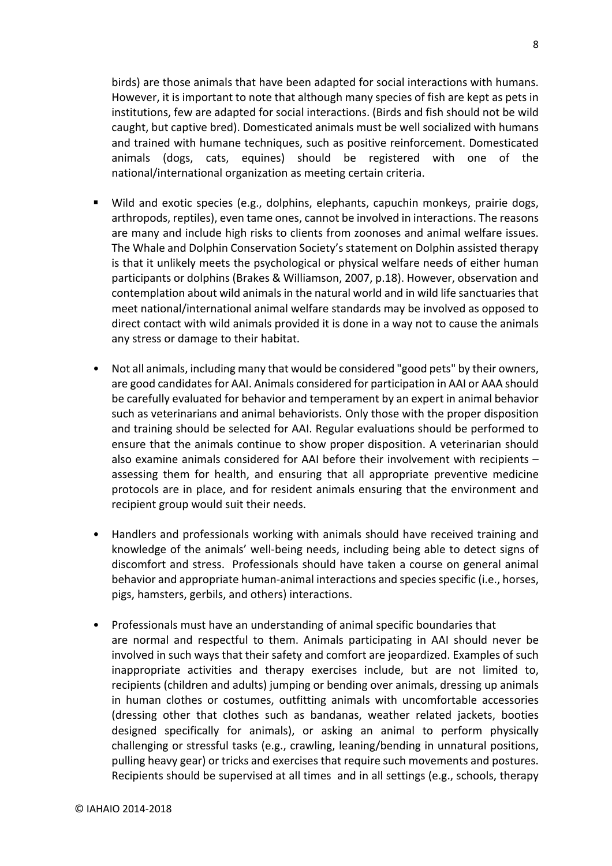birds) are those animals that have been adapted for social interactions with humans. However, it is important to note that although many species of fish are kept as pets in institutions, few are adapted for social interactions. (Birds and fish should not be wild caught, but captive bred). Domesticated animals must be well socialized with humans and trained with humane techniques, such as positive reinforcement. Domesticated animals (dogs, cats, equines) should be registered with one of the national/international organization as meeting certain criteria.

- § Wild and exotic species (e.g., dolphins, elephants, capuchin monkeys, prairie dogs, arthropods, reptiles), even tame ones, cannot be involved in interactions. The reasons are many and include high risks to clients from zoonoses and animal welfare issues. The Whale and Dolphin Conservation Society's statement on Dolphin assisted therapy is that it unlikely meets the psychological or physical welfare needs of either human participants or dolphins (Brakes & Williamson, 2007, p.18). However, observation and contemplation about wild animals in the natural world and in wild life sanctuaries that meet national/international animal welfare standards may be involved as opposed to direct contact with wild animals provided it is done in a way not to cause the animals any stress or damage to their habitat.
- Not all animals, including many that would be considered "good pets" by their owners, are good candidates for AAI. Animals considered for participation in AAI or AAA should be carefully evaluated for behavior and temperament by an expert in animal behavior such as veterinarians and animal behaviorists. Only those with the proper disposition and training should be selected for AAI. Regular evaluations should be performed to ensure that the animals continue to show proper disposition. A veterinarian should also examine animals considered for AAI before their involvement with recipients – assessing them for health, and ensuring that all appropriate preventive medicine protocols are in place, and for resident animals ensuring that the environment and recipient group would suit their needs.
- Handlers and professionals working with animals should have received training and knowledge of the animals' well-being needs, including being able to detect signs of discomfort and stress. Professionals should have taken a course on general animal behavior and appropriate human-animal interactions and species specific (i.e., horses, pigs, hamsters, gerbils, and others) interactions.
- Professionals must have an understanding of animal specific boundaries that are normal and respectful to them. Animals participating in AAI should never be involved in such ways that their safety and comfort are jeopardized. Examples of such inappropriate activities and therapy exercises include, but are not limited to, recipients (children and adults) jumping or bending over animals, dressing up animals in human clothes or costumes, outfitting animals with uncomfortable accessories (dressing other that clothes such as bandanas, weather related jackets, booties designed specifically for animals), or asking an animal to perform physically challenging or stressful tasks (e.g., crawling, leaning/bending in unnatural positions, pulling heavy gear) or tricks and exercises that require such movements and postures. Recipients should be supervised at all times and in all settings (e.g., schools, therapy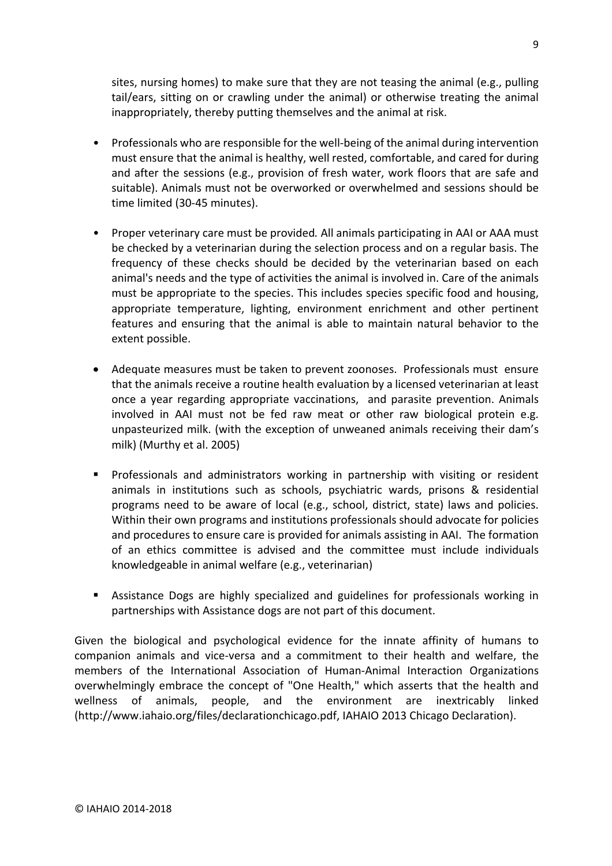sites, nursing homes) to make sure that they are not teasing the animal (e.g., pulling tail/ears, sitting on or crawling under the animal) or otherwise treating the animal inappropriately, thereby putting themselves and the animal at risk.

- Professionals who are responsible for the well-being of the animal during intervention must ensure that the animal is healthy, well rested, comfortable, and cared for during and after the sessions (e.g., provision of fresh water, work floors that are safe and suitable). Animals must not be overworked or overwhelmed and sessions should be time limited (30-45 minutes).
- Proper veterinary care must be provided*.* All animals participating in AAI or AAA must be checked by a veterinarian during the selection process and on a regular basis. The frequency of these checks should be decided by the veterinarian based on each animal's needs and the type of activities the animal is involved in. Care of the animals must be appropriate to the species. This includes species specific food and housing, appropriate temperature, lighting, environment enrichment and other pertinent features and ensuring that the animal is able to maintain natural behavior to the extent possible.
- Adequate measures must be taken to prevent zoonoses. Professionals must ensure that the animals receive a routine health evaluation by a licensed veterinarian at least once a year regarding appropriate vaccinations, and parasite prevention. Animals involved in AAI must not be fed raw meat or other raw biological protein e.g. unpasteurized milk. (with the exception of unweaned animals receiving their dam's milk) (Murthy et al. 2005)
- § Professionals and administrators working in partnership with visiting or resident animals in institutions such as schools, psychiatric wards, prisons & residential programs need to be aware of local (e.g., school, district, state) laws and policies. Within their own programs and institutions professionals should advocate for policies and procedures to ensure care is provided for animals assisting in AAI. The formation of an ethics committee is advised and the committee must include individuals knowledgeable in animal welfare (e.g., veterinarian)
- **•** Assistance Dogs are highly specialized and guidelines for professionals working in partnerships with Assistance dogs are not part of this document.

Given the biological and psychological evidence for the innate affinity of humans to companion animals and vice-versa and a commitment to their health and welfare, the members of the International Association of Human-Animal Interaction Organizations overwhelmingly embrace the concept of "One Health," which asserts that the health and wellness of animals, people, and the environment are inextricably linked (http://www.iahaio.org/files/declarationchicago.pdf, IAHAIO 2013 Chicago Declaration).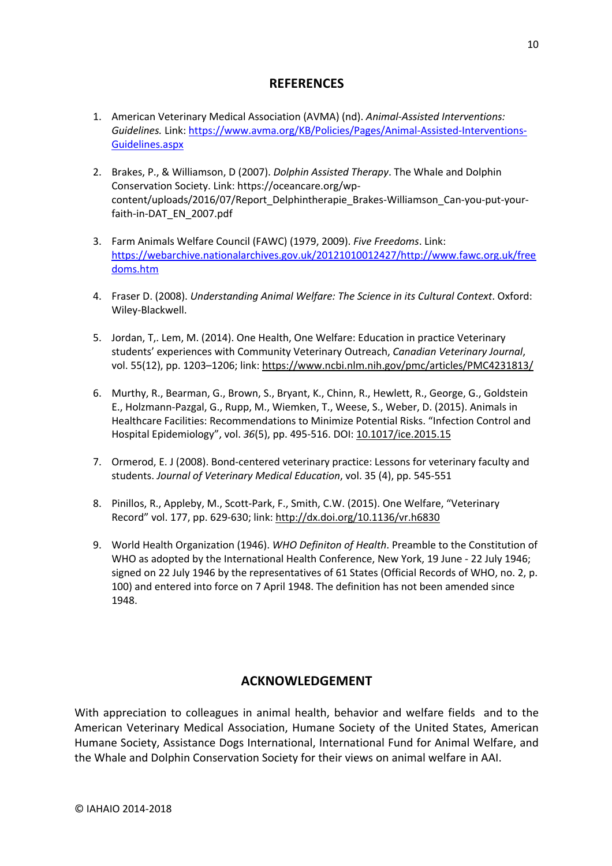### **REFERENCES**

- 1. American Veterinary Medical Association (AVMA) (nd). *Animal-Assisted Interventions: Guidelines.* Link: https://www.avma.org/KB/Policies/Pages/Animal-Assisted-Interventions-Guidelines.aspx
- 2. Brakes, P., & Williamson, D (2007). *Dolphin Assisted Therapy*. The Whale and Dolphin Conservation Society. Link: https://oceancare.org/wpcontent/uploads/2016/07/Report\_Delphintherapie\_Brakes-Williamson\_Can-you-put-yourfaith-in-DAT\_EN\_2007.pdf
- 3. Farm Animals Welfare Council (FAWC) (1979, 2009). *Five Freedoms*. Link: https://webarchive.nationalarchives.gov.uk/20121010012427/http://www.fawc.org.uk/free doms.htm
- 4. Fraser D. (2008). *Understanding Animal Welfare: The Science in its Cultural Context*. Oxford: Wiley-Blackwell.
- 5. Jordan, T,. Lem, M. (2014). One Health, One Welfare: Education in practice Veterinary students' experiences with Community Veterinary Outreach, *Canadian Veterinary Journal*, vol. 55(12), pp. 1203–1206; link: https://www.ncbi.nlm.nih.gov/pmc/articles/PMC4231813/
- 6. Murthy, R., Bearman, G., Brown, S., Bryant, K., Chinn, R., Hewlett, R., George, G., Goldstein E., Holzmann-Pazgal, G., Rupp, M., Wiemken, T., Weese, S., Weber, D. (2015). Animals in Healthcare Facilities: Recommendations to Minimize Potential Risks. "Infection Control and Hospital Epidemiology", vol. *36*(5), pp. 495-516. DOI: 10.1017/ice.2015.15
- 7. Ormerod, E. J (2008). Bond-centered veterinary practice: Lessons for veterinary faculty and students. *Journal of Veterinary Medical Education*, vol. 35 (4), pp. 545-551
- 8. Pinillos, R., Appleby, M., Scott-Park, F., Smith, C.W. (2015). One Welfare, "Veterinary Record" vol. 177, pp. 629-630; link: http://dx.doi.org/10.1136/vr.h6830
- 9. World Health Organization (1946). *WHO Definiton of Health*. Preamble to the Constitution of WHO as adopted by the International Health Conference, New York, 19 June - 22 July 1946; signed on 22 July 1946 by the representatives of 61 States (Official Records of WHO, no. 2, p. 100) and entered into force on 7 April 1948. The definition has not been amended since 1948.

### **ACKNOWLEDGEMENT**

With appreciation to colleagues in animal health, behavior and welfare fields and to the American Veterinary Medical Association, Humane Society of the United States, American Humane Society, Assistance Dogs International, International Fund for Animal Welfare, and the Whale and Dolphin Conservation Society for their views on animal welfare in AAI.